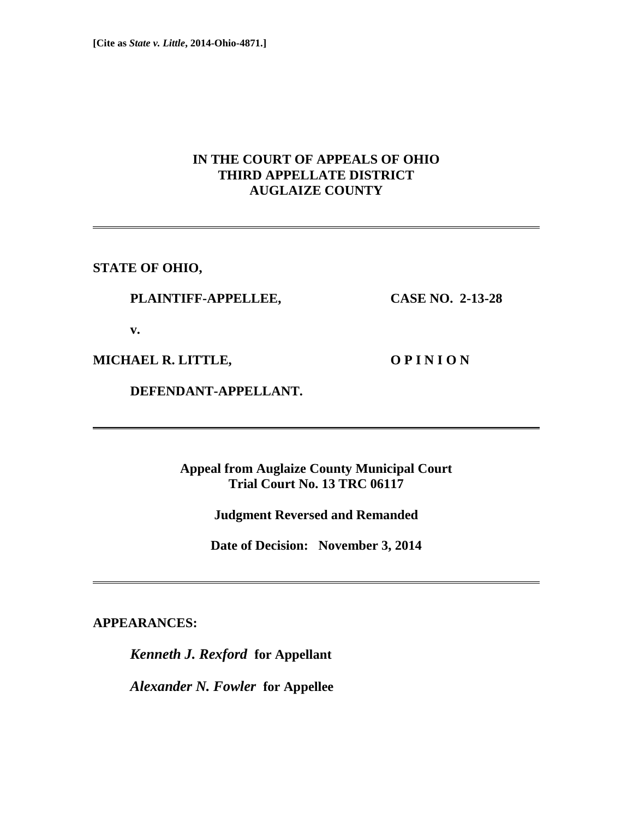## **IN THE COURT OF APPEALS OF OHIO THIRD APPELLATE DISTRICT AUGLAIZE COUNTY**

**STATE OF OHIO,** 

### **PLAINTIFF-APPELLEE, CASE NO. 2-13-28**

 **v.** 

**MICHAEL R. LITTLE, O P I N I O N** 

 **DEFENDANT-APPELLANT.** 

**Appeal from Auglaize County Municipal Court Trial Court No. 13 TRC 06117** 

**Judgment Reversed and Remanded** 

**Date of Decision: November 3, 2014** 

**APPEARANCES:** 

*Kenneth J. Rexford* **for Appellant** 

*Alexander N. Fowler* **for Appellee**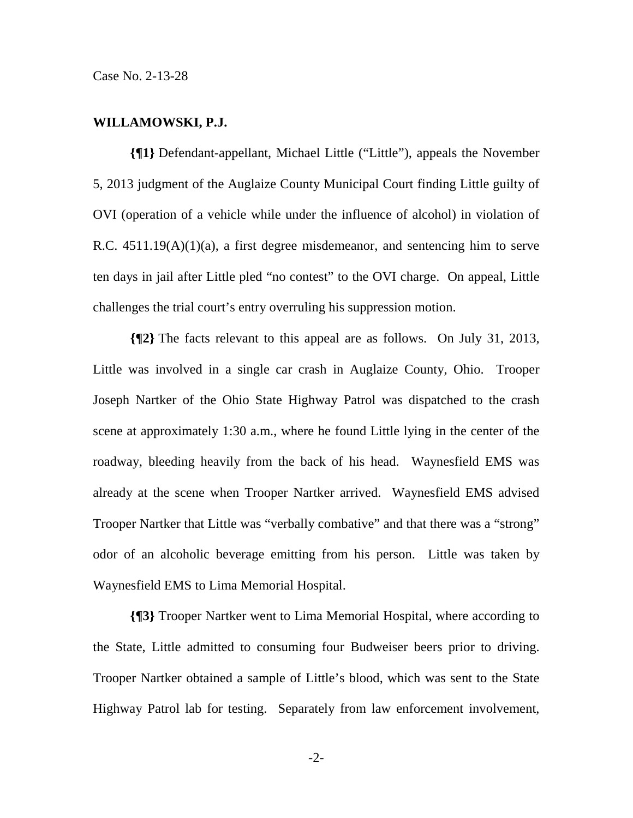Case No. 2-13-28

#### **WILLAMOWSKI, P.J.**

**{¶1}** Defendant-appellant, Michael Little ("Little"), appeals the November 5, 2013 judgment of the Auglaize County Municipal Court finding Little guilty of OVI (operation of a vehicle while under the influence of alcohol) in violation of R.C. 4511.19(A)(1)(a), a first degree misdemeanor, and sentencing him to serve ten days in jail after Little pled "no contest" to the OVI charge. On appeal, Little challenges the trial court's entry overruling his suppression motion.

**{¶2}** The facts relevant to this appeal are as follows. On July 31, 2013, Little was involved in a single car crash in Auglaize County, Ohio. Trooper Joseph Nartker of the Ohio State Highway Patrol was dispatched to the crash scene at approximately 1:30 a.m., where he found Little lying in the center of the roadway, bleeding heavily from the back of his head. Waynesfield EMS was already at the scene when Trooper Nartker arrived. Waynesfield EMS advised Trooper Nartker that Little was "verbally combative" and that there was a "strong" odor of an alcoholic beverage emitting from his person. Little was taken by Waynesfield EMS to Lima Memorial Hospital.

**{¶3}** Trooper Nartker went to Lima Memorial Hospital, where according to the State, Little admitted to consuming four Budweiser beers prior to driving. Trooper Nartker obtained a sample of Little's blood, which was sent to the State Highway Patrol lab for testing. Separately from law enforcement involvement,

-2-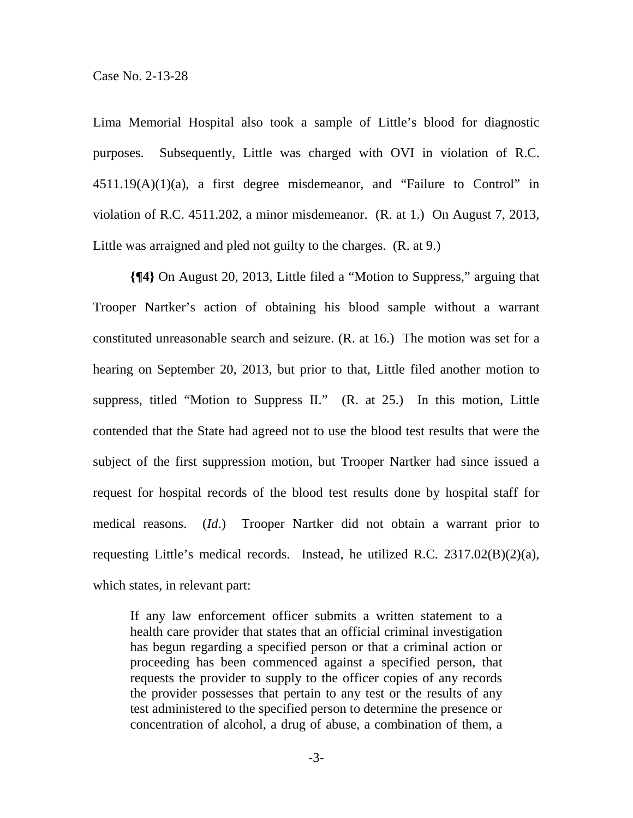Lima Memorial Hospital also took a sample of Little's blood for diagnostic purposes. Subsequently, Little was charged with OVI in violation of R.C.  $4511.19(A)(1)(a)$ , a first degree misdemeanor, and "Failure to Control" in violation of R.C. 4511.202, a minor misdemeanor. (R. at 1.) On August 7, 2013, Little was arraigned and pled not guilty to the charges. (R. at 9.)

**{¶4}** On August 20, 2013, Little filed a "Motion to Suppress," arguing that Trooper Nartker's action of obtaining his blood sample without a warrant constituted unreasonable search and seizure. (R. at 16.) The motion was set for a hearing on September 20, 2013, but prior to that, Little filed another motion to suppress, titled "Motion to Suppress II." (R. at 25.) In this motion, Little contended that the State had agreed not to use the blood test results that were the subject of the first suppression motion, but Trooper Nartker had since issued a request for hospital records of the blood test results done by hospital staff for medical reasons. (*Id*.) Trooper Nartker did not obtain a warrant prior to requesting Little's medical records. Instead, he utilized R.C. 2317.02(B)(2)(a), which states, in relevant part:

If any law enforcement officer submits a written statement to a health care provider that states that an official criminal investigation has begun regarding a specified person or that a criminal action or proceeding has been commenced against a specified person, that requests the provider to supply to the officer copies of any records the provider possesses that pertain to any test or the results of any test administered to the specified person to determine the presence or concentration of alcohol, a drug of abuse, a combination of them, a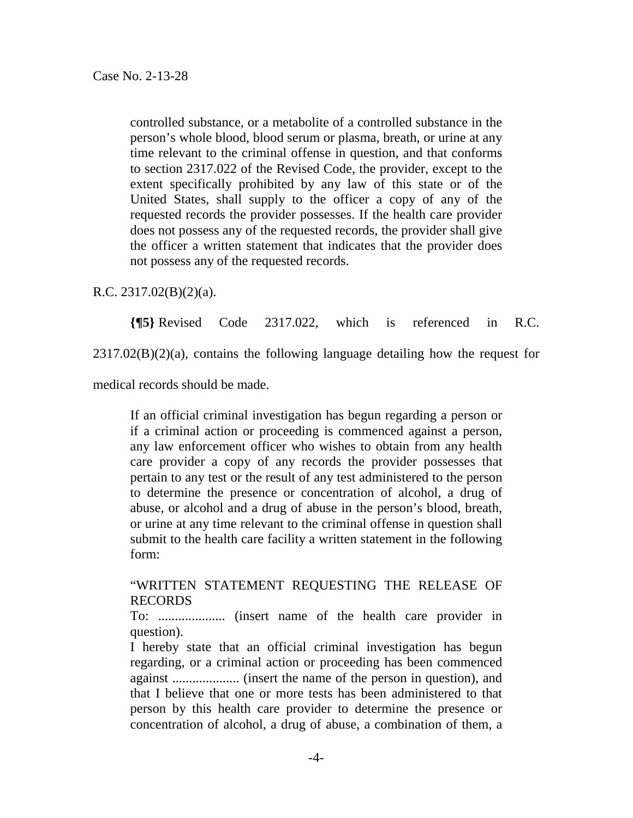controlled substance, or a metabolite of a controlled substance in the person's whole blood, blood serum or plasma, breath, or urine at any time relevant to the criminal offense in question, and that conforms to section 2317.022 of the Revised Code, the provider, except to the extent specifically prohibited by any law of this state or of the United States, shall supply to the officer a copy of any of the requested records the provider possesses. If the health care provider does not possess any of the requested records, the provider shall give the officer a written statement that indicates that the provider does not possess any of the requested records.

R.C. 2317.02(B)(2)(a).

**{¶5}** Revised Code 2317.022, which is referenced in R.C.

 $2317.02(B)(2)(a)$ , contains the following language detailing how the request for

medical records should be made.

If an official criminal investigation has begun regarding a person or if a criminal action or proceeding is commenced against a person, any law enforcement officer who wishes to obtain from any health care provider a copy of any records the provider possesses that pertain to any test or the result of any test administered to the person to determine the presence or concentration of alcohol, a drug of abuse, or alcohol and a drug of abuse in the person's blood, breath, or urine at any time relevant to the criminal offense in question shall submit to the health care facility a written statement in the following form:

"WRITTEN STATEMENT REQUESTING THE RELEASE OF RECORDS

To: .................... (insert name of the health care provider in question).

I hereby state that an official criminal investigation has begun regarding, or a criminal action or proceeding has been commenced against .................... (insert the name of the person in question), and that I believe that one or more tests has been administered to that person by this health care provider to determine the presence or concentration of alcohol, a drug of abuse, a combination of them, a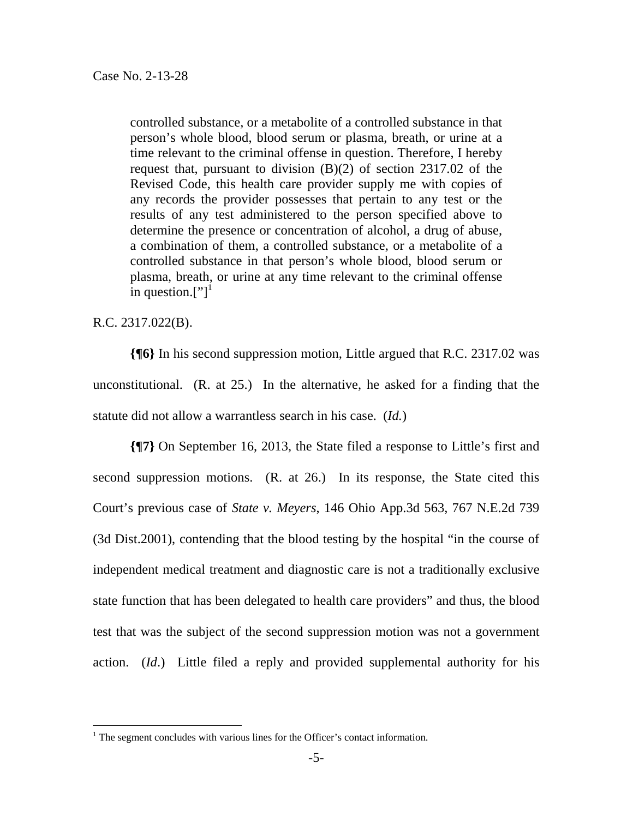controlled substance, or a metabolite of a controlled substance in that person's whole blood, blood serum or plasma, breath, or urine at a time relevant to the criminal offense in question. Therefore, I hereby request that, pursuant to division (B)(2) of section 2317.02 of the Revised Code, this health care provider supply me with copies of any records the provider possesses that pertain to any test or the results of any test administered to the person specified above to determine the presence or concentration of alcohol, a drug of abuse, a combination of them, a controlled substance, or a metabolite of a controlled substance in that person's whole blood, blood serum or plasma, breath, or urine at any time relevant to the criminal offense in question.["]<sup>1</sup>

#### R.C. 2317.022(B).

 $\overline{a}$ 

**{¶6}** In his second suppression motion, Little argued that R.C. 2317.02 was unconstitutional. (R. at 25.) In the alternative, he asked for a finding that the statute did not allow a warrantless search in his case. (*Id.*)

**{¶7}** On September 16, 2013, the State filed a response to Little's first and second suppression motions. (R. at 26.) In its response, the State cited this Court's previous case of *State v. Meyers*, 146 Ohio App.3d 563, 767 N.E.2d 739 (3d Dist.2001), contending that the blood testing by the hospital "in the course of independent medical treatment and diagnostic care is not a traditionally exclusive state function that has been delegated to health care providers" and thus, the blood test that was the subject of the second suppression motion was not a government action. (*Id*.) Little filed a reply and provided supplemental authority for his

<sup>&</sup>lt;sup>1</sup> The segment concludes with various lines for the Officer's contact information.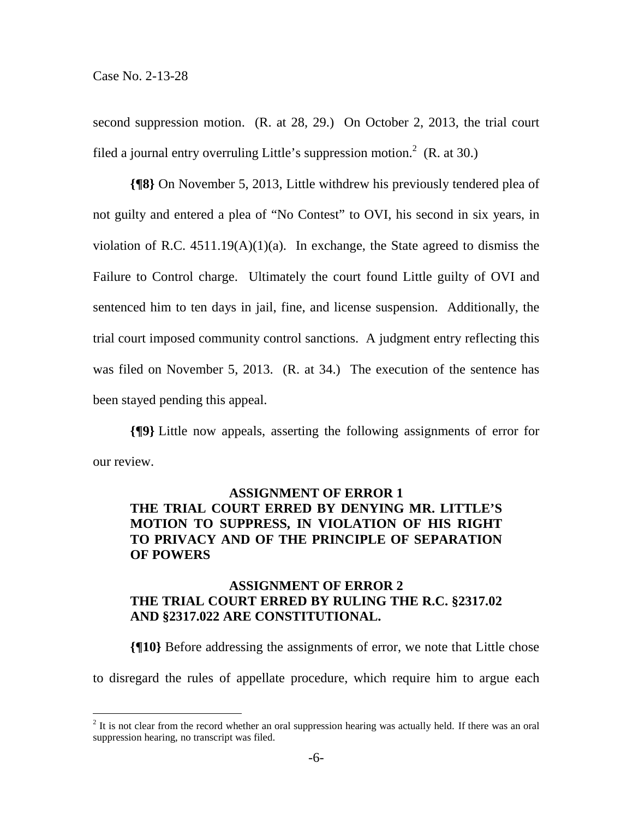$\overline{a}$ 

second suppression motion. (R. at 28, 29.) On October 2, 2013, the trial court filed a journal entry overruling Little's suppression motion.<sup>2</sup> (R. at 30.)

**{¶8}** On November 5, 2013, Little withdrew his previously tendered plea of not guilty and entered a plea of "No Contest" to OVI, his second in six years, in violation of R.C.  $4511.19(A)(1)(a)$ . In exchange, the State agreed to dismiss the Failure to Control charge. Ultimately the court found Little guilty of OVI and sentenced him to ten days in jail, fine, and license suspension. Additionally, the trial court imposed community control sanctions. A judgment entry reflecting this was filed on November 5, 2013. (R. at 34.) The execution of the sentence has been stayed pending this appeal.

**{¶9}** Little now appeals, asserting the following assignments of error for our review.

# **ASSIGNMENT OF ERROR 1 THE TRIAL COURT ERRED BY DENYING MR. LITTLE'S MOTION TO SUPPRESS, IN VIOLATION OF HIS RIGHT TO PRIVACY AND OF THE PRINCIPLE OF SEPARATION OF POWERS**

# **ASSIGNMENT OF ERROR 2 THE TRIAL COURT ERRED BY RULING THE R.C. §2317.02 AND §2317.022 ARE CONSTITUTIONAL.**

**{¶10}** Before addressing the assignments of error, we note that Little chose to disregard the rules of appellate procedure, which require him to argue each

 $2<sup>2</sup>$  It is not clear from the record whether an oral suppression hearing was actually held. If there was an oral suppression hearing, no transcript was filed.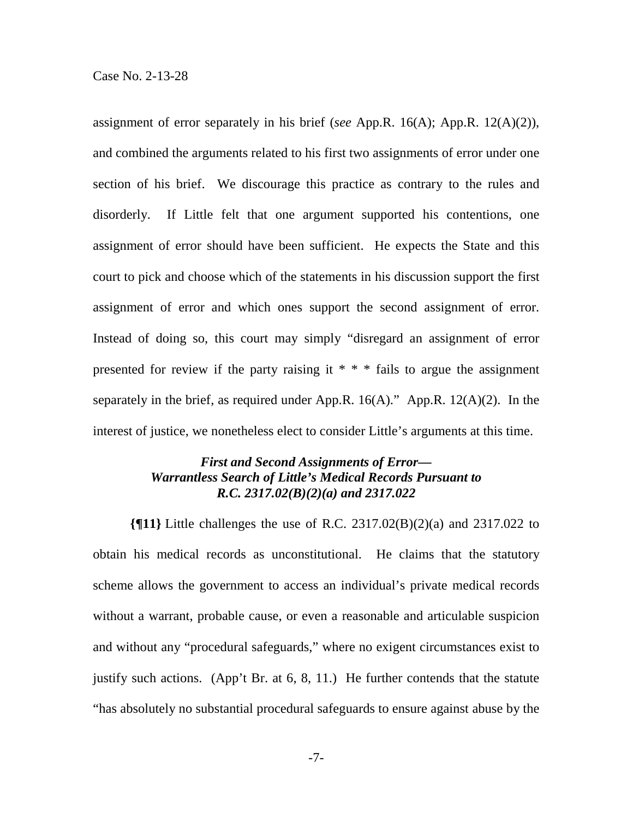assignment of error separately in his brief (*see* App.R. 16(A); App.R. 12(A)(2)), and combined the arguments related to his first two assignments of error under one section of his brief. We discourage this practice as contrary to the rules and disorderly. If Little felt that one argument supported his contentions, one assignment of error should have been sufficient. He expects the State and this court to pick and choose which of the statements in his discussion support the first assignment of error and which ones support the second assignment of error. Instead of doing so, this court may simply "disregard an assignment of error presented for review if the party raising it \* \* \* fails to argue the assignment separately in the brief, as required under App.R.  $16(A)$ ." App.R.  $12(A)(2)$ . In the interest of justice, we nonetheless elect to consider Little's arguments at this time.

## *First and Second Assignments of Error— Warrantless Search of Little's Medical Records Pursuant to R.C. 2317.02(B)(2)(a) and 2317.022*

**{¶11}** Little challenges the use of R.C. 2317.02(B)(2)(a) and 2317.022 to obtain his medical records as unconstitutional. He claims that the statutory scheme allows the government to access an individual's private medical records without a warrant, probable cause, or even a reasonable and articulable suspicion and without any "procedural safeguards," where no exigent circumstances exist to justify such actions. (App't Br. at 6, 8, 11.) He further contends that the statute "has absolutely no substantial procedural safeguards to ensure against abuse by the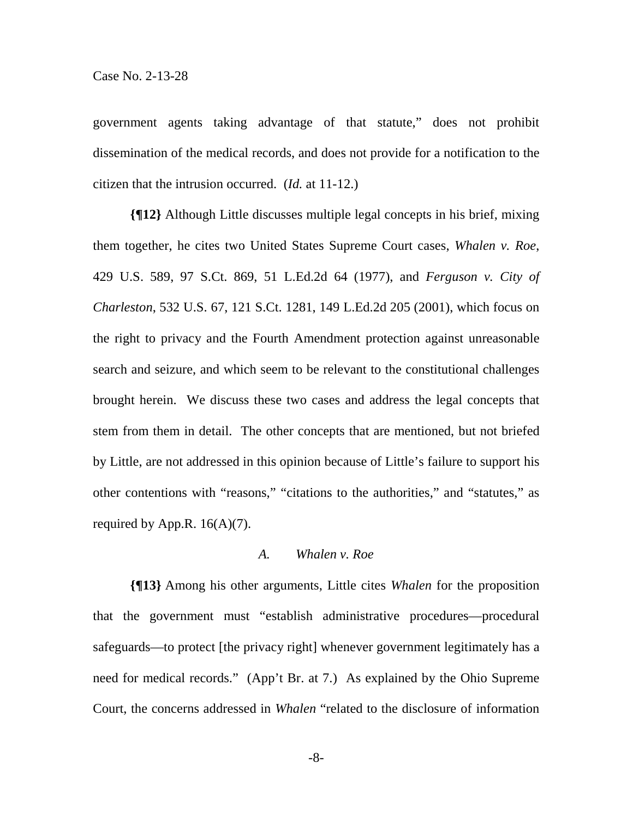government agents taking advantage of that statute," does not prohibit dissemination of the medical records, and does not provide for a notification to the citizen that the intrusion occurred. (*Id.* at 11-12.)

**{¶12}** Although Little discusses multiple legal concepts in his brief, mixing them together, he cites two United States Supreme Court cases, *Whalen v. Roe*, 429 U.S. 589, 97 S.Ct. 869, 51 L.Ed.2d 64 (1977), and *Ferguson v. City of Charleston*, 532 U.S. 67, 121 S.Ct. 1281, 149 L.Ed.2d 205 (2001), which focus on the right to privacy and the Fourth Amendment protection against unreasonable search and seizure, and which seem to be relevant to the constitutional challenges brought herein. We discuss these two cases and address the legal concepts that stem from them in detail. The other concepts that are mentioned, but not briefed by Little, are not addressed in this opinion because of Little's failure to support his other contentions with "reasons," "citations to the authorities," and "statutes," as required by App.R.  $16(A)(7)$ .

### *A. Whalen v. Roe*

**{¶13}** Among his other arguments, Little cites *Whalen* for the proposition that the government must "establish administrative procedures—procedural safeguards—to protect [the privacy right] whenever government legitimately has a need for medical records." (App't Br. at 7.) As explained by the Ohio Supreme Court, the concerns addressed in *Whalen* "related to the disclosure of information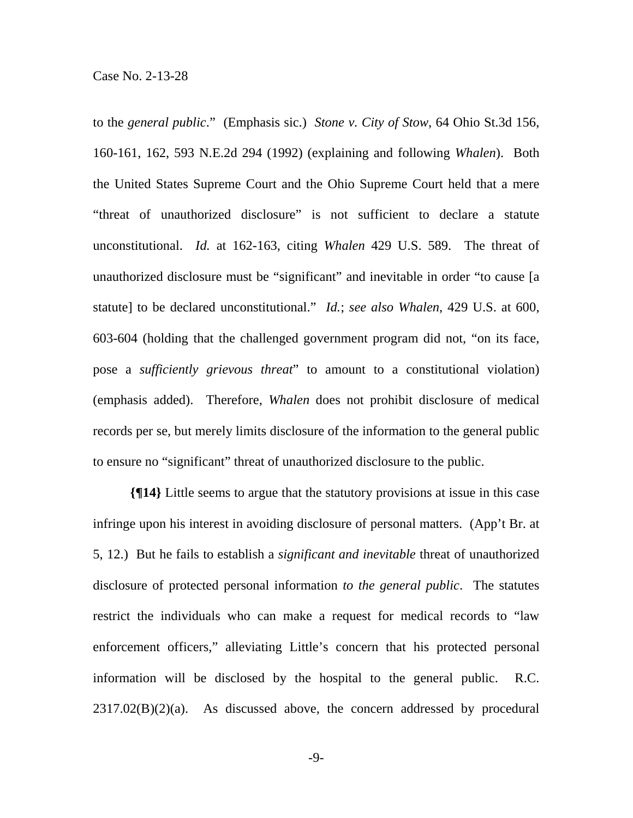to the *general public*." (Emphasis sic.) *Stone v. City of Stow*, 64 Ohio St.3d 156, 160-161, 162, 593 N.E.2d 294 (1992) (explaining and following *Whalen*). Both the United States Supreme Court and the Ohio Supreme Court held that a mere "threat of unauthorized disclosure" is not sufficient to declare a statute unconstitutional. *Id.* at 162-163, citing *Whalen* 429 U.S. 589. The threat of unauthorized disclosure must be "significant" and inevitable in order "to cause [a statute] to be declared unconstitutional." *Id.*; *see also Whalen*, 429 U.S. at 600, 603-604 (holding that the challenged government program did not, "on its face, pose a *sufficiently grievous threat*" to amount to a constitutional violation) (emphasis added). Therefore, *Whalen* does not prohibit disclosure of medical records per se, but merely limits disclosure of the information to the general public to ensure no "significant" threat of unauthorized disclosure to the public.

**{¶14}** Little seems to argue that the statutory provisions at issue in this case infringe upon his interest in avoiding disclosure of personal matters. (App't Br. at 5, 12.) But he fails to establish a *significant and inevitable* threat of unauthorized disclosure of protected personal information *to the general public*. The statutes restrict the individuals who can make a request for medical records to "law enforcement officers," alleviating Little's concern that his protected personal information will be disclosed by the hospital to the general public. R.C.  $2317.02(B)(2)(a)$ . As discussed above, the concern addressed by procedural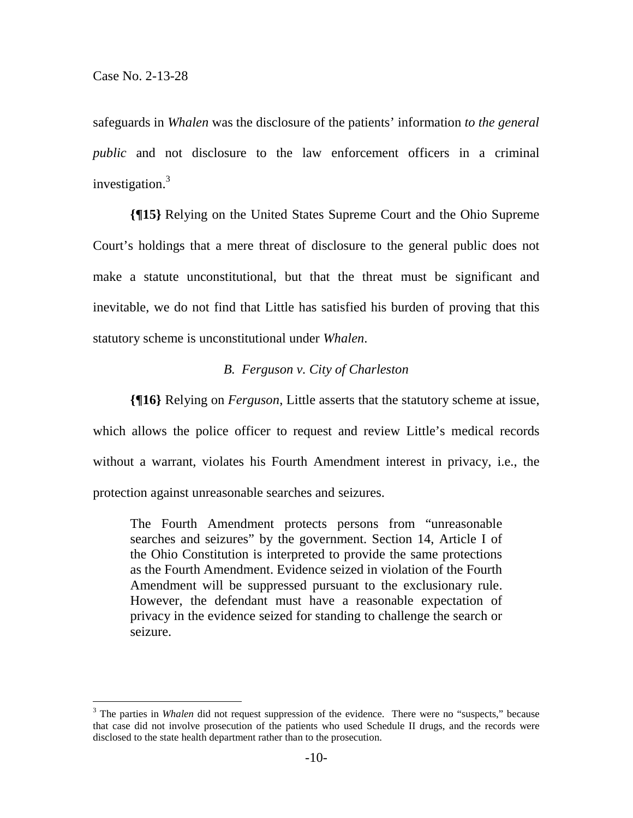safeguards in *Whalen* was the disclosure of the patients' information *to the general public* and not disclosure to the law enforcement officers in a criminal investigation.<sup>3</sup>

**{¶15}** Relying on the United States Supreme Court and the Ohio Supreme Court's holdings that a mere threat of disclosure to the general public does not make a statute unconstitutional, but that the threat must be significant and inevitable, we do not find that Little has satisfied his burden of proving that this statutory scheme is unconstitutional under *Whalen*.

### *B. Ferguson v. City of Charleston*

**{¶16}** Relying on *Ferguson*, Little asserts that the statutory scheme at issue, which allows the police officer to request and review Little's medical records without a warrant, violates his Fourth Amendment interest in privacy, i.e., the protection against unreasonable searches and seizures.

The Fourth Amendment protects persons from "unreasonable searches and seizures" by the government. Section 14, Article I of the Ohio Constitution is interpreted to provide the same protections as the Fourth Amendment. Evidence seized in violation of the Fourth Amendment will be suppressed pursuant to the exclusionary rule. However, the defendant must have a reasonable expectation of privacy in the evidence seized for standing to challenge the search or seizure.

<sup>&</sup>lt;sup>3</sup> The parties in *Whalen* did not request suppression of the evidence. There were no "suspects," because that case did not involve prosecution of the patients who used Schedule II drugs, and the records were disclosed to the state health department rather than to the prosecution.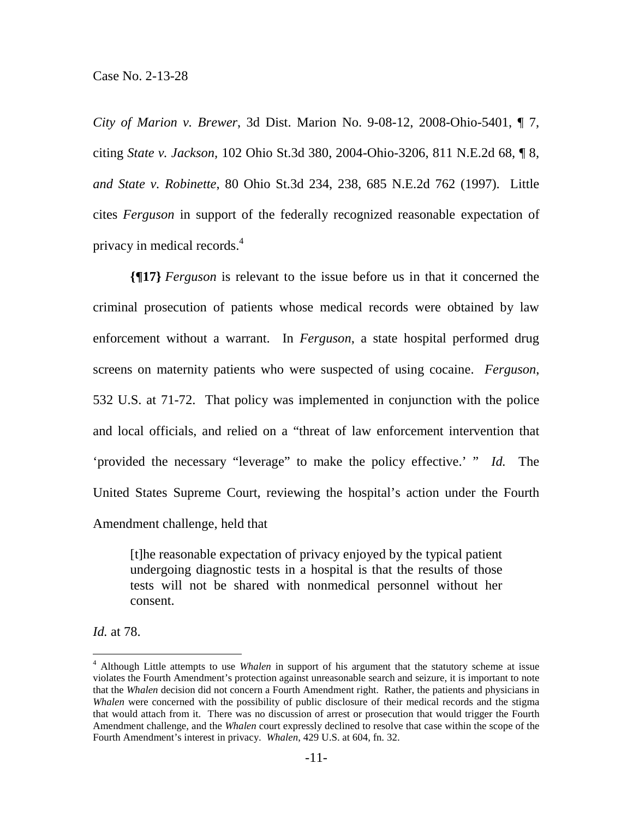*City of Marion v. Brewer*, 3d Dist. Marion No. 9-08-12, 2008-Ohio-5401, ¶ 7, citing *State v. Jackson,* 102 Ohio St.3d 380, 2004-Ohio-3206, 811 N.E.2d 68, ¶ 8, *and State v. Robinette*, 80 Ohio St.3d 234, 238, 685 N.E.2d 762 (1997). Little cites *Ferguson* in support of the federally recognized reasonable expectation of privacy in medical records.4

**{¶17}** *Ferguson* is relevant to the issue before us in that it concerned the criminal prosecution of patients whose medical records were obtained by law enforcement without a warrant. In *Ferguson*, a state hospital performed drug screens on maternity patients who were suspected of using cocaine. *Ferguson*, 532 U.S. at 71-72. That policy was implemented in conjunction with the police and local officials, and relied on a "threat of law enforcement intervention that 'provided the necessary "leverage" to make the policy effective.' " *Id.* The United States Supreme Court, reviewing the hospital's action under the Fourth Amendment challenge, held that

[t]he reasonable expectation of privacy enjoyed by the typical patient undergoing diagnostic tests in a hospital is that the results of those tests will not be shared with nonmedical personnel without her consent.

*Id.* at 78.

 $\overline{a}$ 

<sup>4</sup> Although Little attempts to use *Whalen* in support of his argument that the statutory scheme at issue violates the Fourth Amendment's protection against unreasonable search and seizure, it is important to note that the *Whalen* decision did not concern a Fourth Amendment right. Rather, the patients and physicians in *Whalen* were concerned with the possibility of public disclosure of their medical records and the stigma that would attach from it. There was no discussion of arrest or prosecution that would trigger the Fourth Amendment challenge, and the *Whalen* court expressly declined to resolve that case within the scope of the Fourth Amendment's interest in privacy. *Whalen*, 429 U.S. at 604, fn. 32.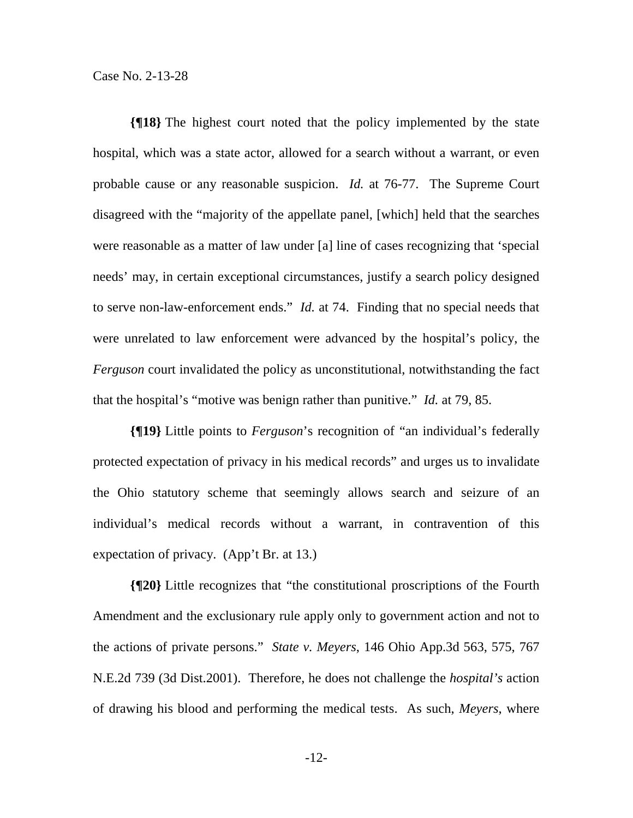**{¶18}** The highest court noted that the policy implemented by the state hospital, which was a state actor, allowed for a search without a warrant, or even probable cause or any reasonable suspicion. *Id.* at 76-77. The Supreme Court disagreed with the "majority of the appellate panel, [which] held that the searches were reasonable as a matter of law under [a] line of cases recognizing that 'special needs' may, in certain exceptional circumstances, justify a search policy designed to serve non-law-enforcement ends." *Id.* at 74. Finding that no special needs that were unrelated to law enforcement were advanced by the hospital's policy, the *Ferguson* court invalidated the policy as unconstitutional, notwithstanding the fact that the hospital's "motive was benign rather than punitive." *Id.* at 79, 85.

**{¶19}** Little points to *Ferguson*'s recognition of "an individual's federally protected expectation of privacy in his medical records" and urges us to invalidate the Ohio statutory scheme that seemingly allows search and seizure of an individual's medical records without a warrant, in contravention of this expectation of privacy. (App't Br. at 13.)

**{¶20}** Little recognizes that "the constitutional proscriptions of the Fourth Amendment and the exclusionary rule apply only to government action and not to the actions of private persons." *State v. Meyers*, 146 Ohio App.3d 563, 575, 767 N.E.2d 739 (3d Dist.2001). Therefore, he does not challenge the *hospital's* action of drawing his blood and performing the medical tests. As such, *Meyers*, where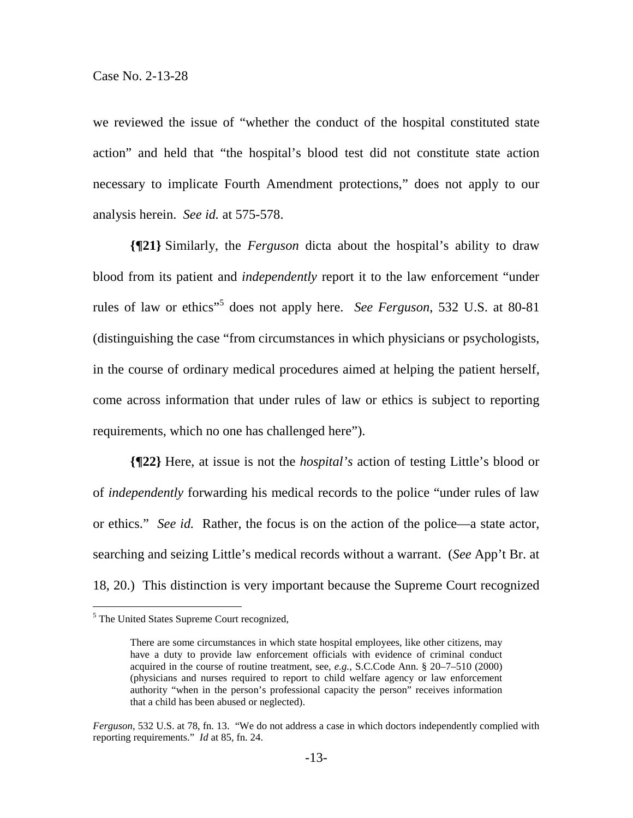we reviewed the issue of "whether the conduct of the hospital constituted state action" and held that "the hospital's blood test did not constitute state action necessary to implicate Fourth Amendment protections," does not apply to our analysis herein. *See id.* at 575-578.

**{¶21}** Similarly, the *Ferguson* dicta about the hospital's ability to draw blood from its patient and *independently* report it to the law enforcement "under rules of law or ethics<sup>55</sup> does not apply here. *See Ferguson*, 532 U.S. at 80-81 (distinguishing the case "from circumstances in which physicians or psychologists, in the course of ordinary medical procedures aimed at helping the patient herself, come across information that under rules of law or ethics is subject to reporting requirements, which no one has challenged here").

**{¶22}** Here, at issue is not the *hospital's* action of testing Little's blood or of *independently* forwarding his medical records to the police "under rules of law or ethics." *See id.* Rather, the focus is on the action of the police—a state actor, searching and seizing Little's medical records without a warrant. (*See* App't Br. at 18, 20.) This distinction is very important because the Supreme Court recognized

The United States Supreme Court recognized,

There are some circumstances in which state hospital employees, like other citizens, may have a duty to provide law enforcement officials with evidence of criminal conduct acquired in the course of routine treatment, see, *e.g.,* S.C.Code Ann. § 20–7–510 (2000) (physicians and nurses required to report to child welfare agency or law enforcement authority "when in the person's professional capacity the person" receives information that a child has been abused or neglected).

*Ferguson*, 532 U.S. at 78, fn. 13. "We do not address a case in which doctors independently complied with reporting requirements." *Id* at 85, fn. 24.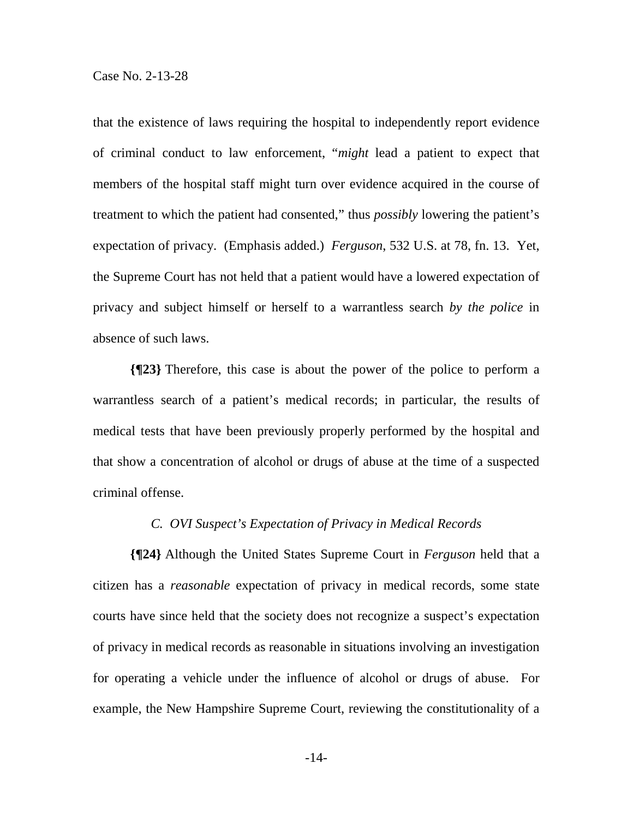that the existence of laws requiring the hospital to independently report evidence of criminal conduct to law enforcement, "*might* lead a patient to expect that members of the hospital staff might turn over evidence acquired in the course of treatment to which the patient had consented," thus *possibly* lowering the patient's expectation of privacy. (Emphasis added.) *Ferguson*, 532 U.S. at 78, fn. 13. Yet, the Supreme Court has not held that a patient would have a lowered expectation of privacy and subject himself or herself to a warrantless search *by the police* in absence of such laws.

**{¶23}** Therefore, this case is about the power of the police to perform a warrantless search of a patient's medical records; in particular, the results of medical tests that have been previously properly performed by the hospital and that show a concentration of alcohol or drugs of abuse at the time of a suspected criminal offense.

### *C. OVI Suspect's Expectation of Privacy in Medical Records*

**{¶24}** Although the United States Supreme Court in *Ferguson* held that a citizen has a *reasonable* expectation of privacy in medical records, some state courts have since held that the society does not recognize a suspect's expectation of privacy in medical records as reasonable in situations involving an investigation for operating a vehicle under the influence of alcohol or drugs of abuse. For example, the New Hampshire Supreme Court, reviewing the constitutionality of a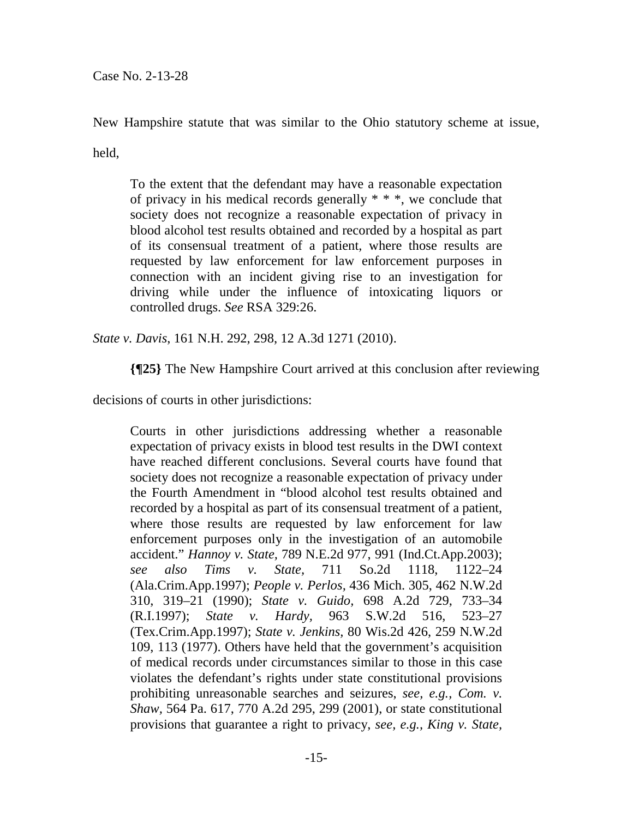Case No. 2-13-28

New Hampshire statute that was similar to the Ohio statutory scheme at issue,

held,

To the extent that the defendant may have a reasonable expectation of privacy in his medical records generally \* \* \*, we conclude that society does not recognize a reasonable expectation of privacy in blood alcohol test results obtained and recorded by a hospital as part of its consensual treatment of a patient, where those results are requested by law enforcement for law enforcement purposes in connection with an incident giving rise to an investigation for driving while under the influence of intoxicating liquors or controlled drugs. *See* RSA 329:26.

*State v. Davis*, 161 N.H. 292, 298, 12 A.3d 1271 (2010).

**{¶25}** The New Hampshire Court arrived at this conclusion after reviewing

decisions of courts in other jurisdictions:

Courts in other jurisdictions addressing whether a reasonable expectation of privacy exists in blood test results in the DWI context have reached different conclusions. Several courts have found that society does not recognize a reasonable expectation of privacy under the Fourth Amendment in "blood alcohol test results obtained and recorded by a hospital as part of its consensual treatment of a patient, where those results are requested by law enforcement for law enforcement purposes only in the investigation of an automobile accident." *Hannoy v. State,* 789 N.E.2d 977, 991 (Ind.Ct.App.2003); *see also Tims v. State,* 711 So.2d 1118, 1122–24 (Ala.Crim.App.1997); *People v. Perlos,* 436 Mich. 305, 462 N.W.2d 310, 319–21 (1990); *State v. Guido,* 698 A.2d 729, 733–34 (R.I.1997); *State v. Hardy,* 963 S.W.2d 516, 523–27 (Tex.Crim.App.1997); *State v. Jenkins,* 80 Wis.2d 426, 259 N.W.2d 109, 113 (1977). Others have held that the government's acquisition of medical records under circumstances similar to those in this case violates the defendant's rights under state constitutional provisions prohibiting unreasonable searches and seizures, *see, e.g., Com. v. Shaw,* 564 Pa. 617, 770 A.2d 295, 299 (2001), or state constitutional provisions that guarantee a right to privacy, *see, e.g., King v. State,*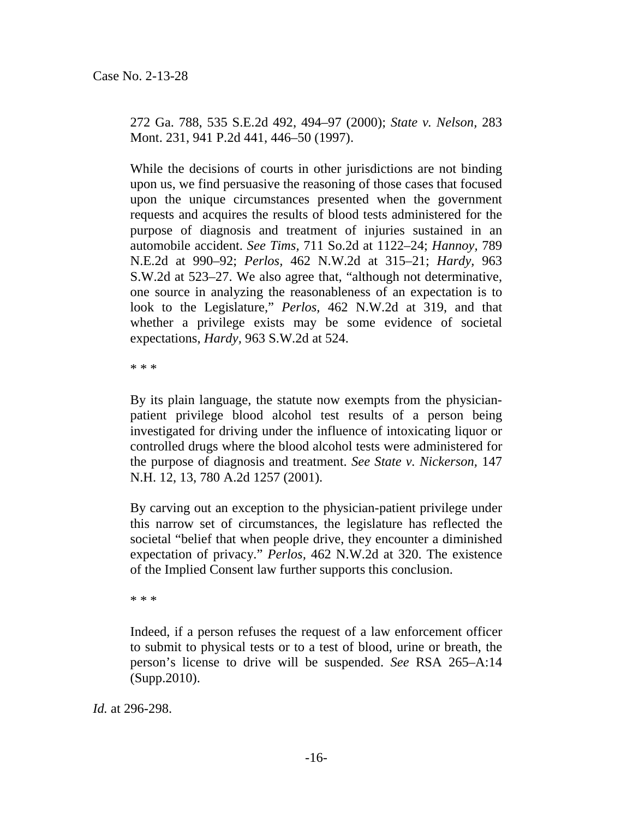272 Ga. 788, 535 S.E.2d 492, 494–97 (2000); *State v. Nelson,* 283 Mont. 231, 941 P.2d 441, 446–50 (1997).

While the decisions of courts in other jurisdictions are not binding upon us, we find persuasive the reasoning of those cases that focused upon the unique circumstances presented when the government requests and acquires the results of blood tests administered for the purpose of diagnosis and treatment of injuries sustained in an automobile accident. *See Tims,* 711 So.2d at 1122–24; *Hannoy,* 789 N.E.2d at 990–92; *Perlos,* 462 N.W.2d at 315–21; *Hardy,* 963 S.W.2d at 523–27. We also agree that, "although not determinative, one source in analyzing the reasonableness of an expectation is to look to the Legislature," *Perlos,* 462 N.W.2d at 319, and that whether a privilege exists may be some evidence of societal expectations, *Hardy,* 963 S.W.2d at 524.

\* \* \*

By its plain language, the statute now exempts from the physicianpatient privilege blood alcohol test results of a person being investigated for driving under the influence of intoxicating liquor or controlled drugs where the blood alcohol tests were administered for the purpose of diagnosis and treatment. *See State v. Nickerson,* 147 N.H. 12, 13, 780 A.2d 1257 (2001).

By carving out an exception to the physician-patient privilege under this narrow set of circumstances, the legislature has reflected the societal "belief that when people drive, they encounter a diminished expectation of privacy." *Perlos,* 462 N.W.2d at 320. The existence of the Implied Consent law further supports this conclusion.

\* \* \*

Indeed, if a person refuses the request of a law enforcement officer to submit to physical tests or to a test of blood, urine or breath, the person's license to drive will be suspended. *See* RSA 265–A:14 (Supp.2010).

*Id.* at 296-298.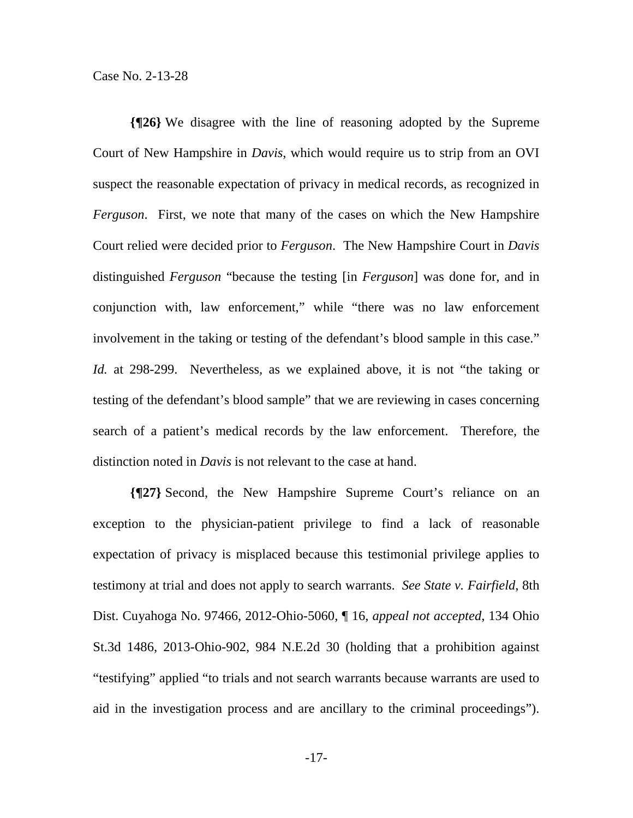**{¶26}** We disagree with the line of reasoning adopted by the Supreme Court of New Hampshire in *Davis*, which would require us to strip from an OVI suspect the reasonable expectation of privacy in medical records, as recognized in *Ferguson*. First, we note that many of the cases on which the New Hampshire Court relied were decided prior to *Ferguson*. The New Hampshire Court in *Davis* distinguished *Ferguson* "because the testing [in *Ferguson*] was done for, and in conjunction with, law enforcement," while "there was no law enforcement involvement in the taking or testing of the defendant's blood sample in this case." *Id.* at 298-299. Nevertheless, as we explained above, it is not "the taking or testing of the defendant's blood sample" that we are reviewing in cases concerning search of a patient's medical records by the law enforcement. Therefore, the distinction noted in *Davis* is not relevant to the case at hand.

**{¶27}** Second, the New Hampshire Supreme Court's reliance on an exception to the physician-patient privilege to find a lack of reasonable expectation of privacy is misplaced because this testimonial privilege applies to testimony at trial and does not apply to search warrants. *See State v. Fairfield*, 8th Dist. Cuyahoga No. 97466, 2012-Ohio-5060, ¶ 16, *appeal not accepted*, 134 Ohio St.3d 1486, 2013-Ohio-902, 984 N.E.2d 30 (holding that a prohibition against "testifying" applied "to trials and not search warrants because warrants are used to aid in the investigation process and are ancillary to the criminal proceedings").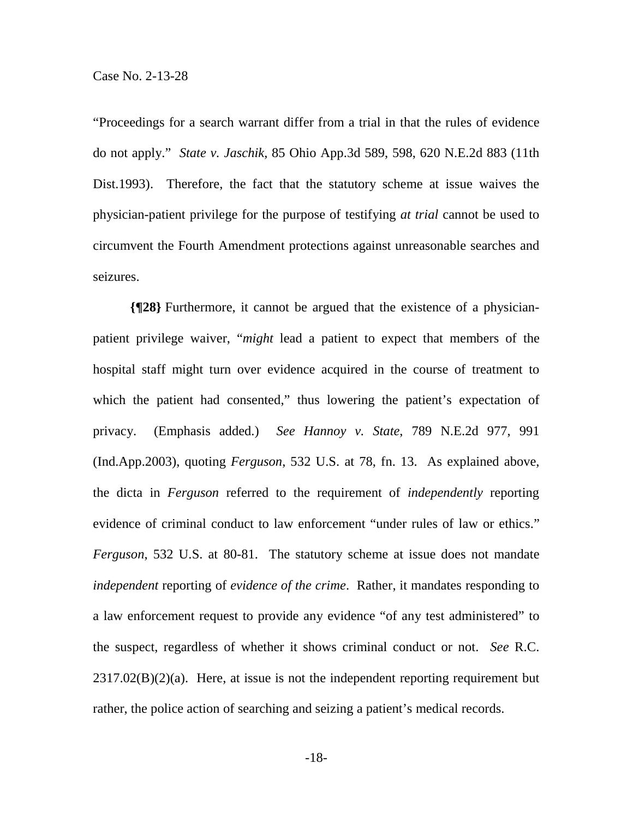"Proceedings for a search warrant differ from a trial in that the rules of evidence do not apply." *State v. Jaschik*, 85 Ohio App.3d 589, 598, 620 N.E.2d 883 (11th Dist.1993). Therefore, the fact that the statutory scheme at issue waives the physician-patient privilege for the purpose of testifying *at trial* cannot be used to circumvent the Fourth Amendment protections against unreasonable searches and seizures.

**{¶28}** Furthermore, it cannot be argued that the existence of a physicianpatient privilege waiver, "*might* lead a patient to expect that members of the hospital staff might turn over evidence acquired in the course of treatment to which the patient had consented," thus lowering the patient's expectation of privacy. (Emphasis added.) *See Hannoy v. State*, 789 N.E.2d 977, 991 (Ind.App.2003), quoting *Ferguson*, 532 U.S. at 78, fn. 13. As explained above, the dicta in *Ferguson* referred to the requirement of *independently* reporting evidence of criminal conduct to law enforcement "under rules of law or ethics." *Ferguson*, 532 U.S. at 80-81. The statutory scheme at issue does not mandate *independent* reporting of *evidence of the crime*. Rather, it mandates responding to a law enforcement request to provide any evidence "of any test administered" to the suspect, regardless of whether it shows criminal conduct or not. *See* R.C.  $2317.02(B)(2)(a)$ . Here, at issue is not the independent reporting requirement but rather, the police action of searching and seizing a patient's medical records.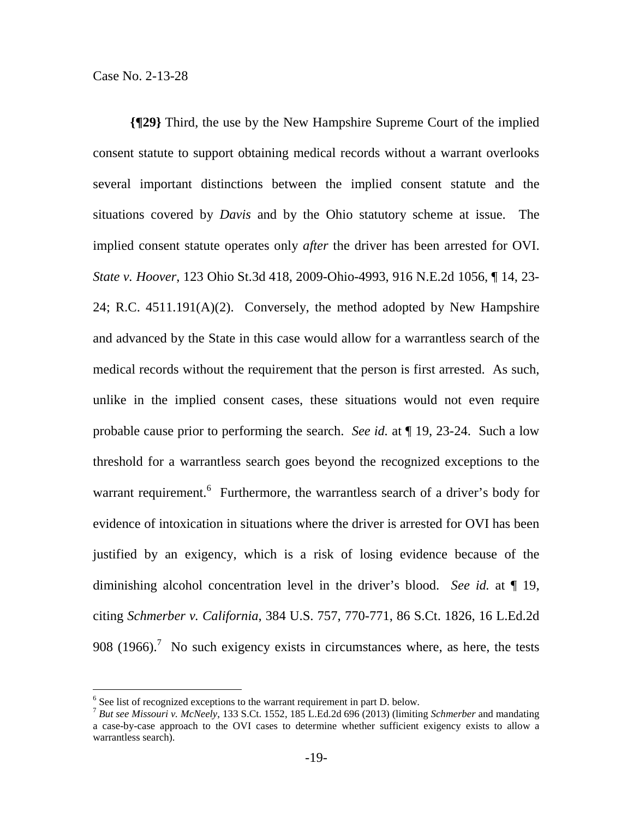**{¶29}** Third, the use by the New Hampshire Supreme Court of the implied consent statute to support obtaining medical records without a warrant overlooks several important distinctions between the implied consent statute and the situations covered by *Davis* and by the Ohio statutory scheme at issue. The implied consent statute operates only *after* the driver has been arrested for OVI. *State v. Hoover*, 123 Ohio St.3d 418, 2009-Ohio-4993, 916 N.E.2d 1056, ¶ 14, 23- 24; R.C. 4511.191(A)(2). Conversely, the method adopted by New Hampshire and advanced by the State in this case would allow for a warrantless search of the medical records without the requirement that the person is first arrested. As such, unlike in the implied consent cases, these situations would not even require probable cause prior to performing the search. *See id.* at ¶ 19, 23-24. Such a low threshold for a warrantless search goes beyond the recognized exceptions to the warrant requirement.<sup>6</sup> Furthermore, the warrantless search of a driver's body for evidence of intoxication in situations where the driver is arrested for OVI has been justified by an exigency, which is a risk of losing evidence because of the diminishing alcohol concentration level in the driver's blood. *See id.* at ¶ 19, citing *Schmerber v. California*, 384 U.S. 757, 770-771, 86 S.Ct. 1826, 16 L.Ed.2d 908 (1966).<sup>7</sup> No such exigency exists in circumstances where, as here, the tests

 $\overline{a}$ 

 $6$  See list of recognized exceptions to the warrant requirement in part D. below.

<sup>7</sup> *But see Missouri v. McNeely*, 133 S.Ct. 1552, 185 L.Ed.2d 696 (2013) (limiting *Schmerber* and mandating a case-by-case approach to the OVI cases to determine whether sufficient exigency exists to allow a warrantless search).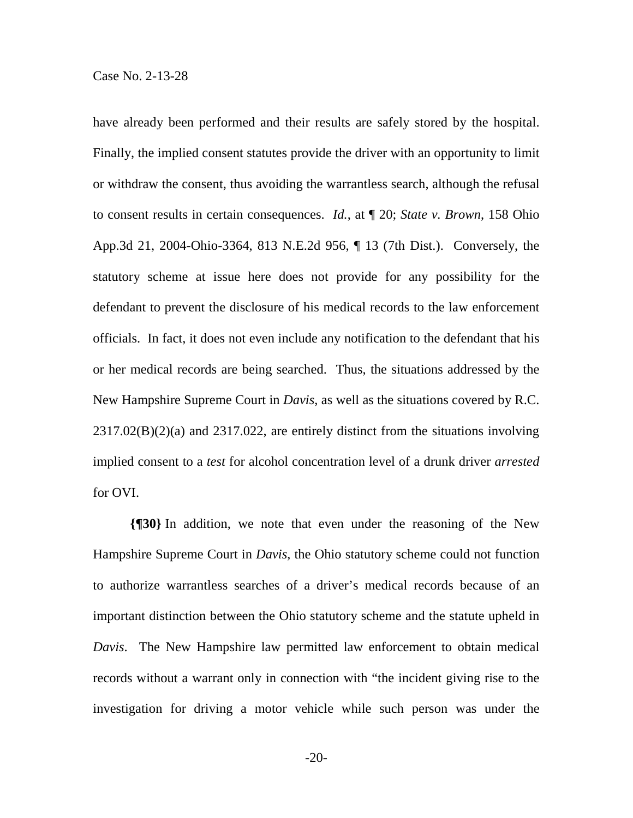have already been performed and their results are safely stored by the hospital. Finally, the implied consent statutes provide the driver with an opportunity to limit or withdraw the consent, thus avoiding the warrantless search, although the refusal to consent results in certain consequences. *Id.*, at ¶ 20; *State v. Brown*, 158 Ohio App.3d 21, 2004-Ohio-3364, 813 N.E.2d 956, ¶ 13 (7th Dist.). Conversely, the statutory scheme at issue here does not provide for any possibility for the defendant to prevent the disclosure of his medical records to the law enforcement officials. In fact, it does not even include any notification to the defendant that his or her medical records are being searched. Thus, the situations addressed by the New Hampshire Supreme Court in *Davis*, as well as the situations covered by R.C. 2317.02(B)(2)(a) and 2317.022, are entirely distinct from the situations involving implied consent to a *test* for alcohol concentration level of a drunk driver *arrested* for OVI.

**{¶30}** In addition, we note that even under the reasoning of the New Hampshire Supreme Court in *Davis*, the Ohio statutory scheme could not function to authorize warrantless searches of a driver's medical records because of an important distinction between the Ohio statutory scheme and the statute upheld in *Davis*. The New Hampshire law permitted law enforcement to obtain medical records without a warrant only in connection with "the incident giving rise to the investigation for driving a motor vehicle while such person was under the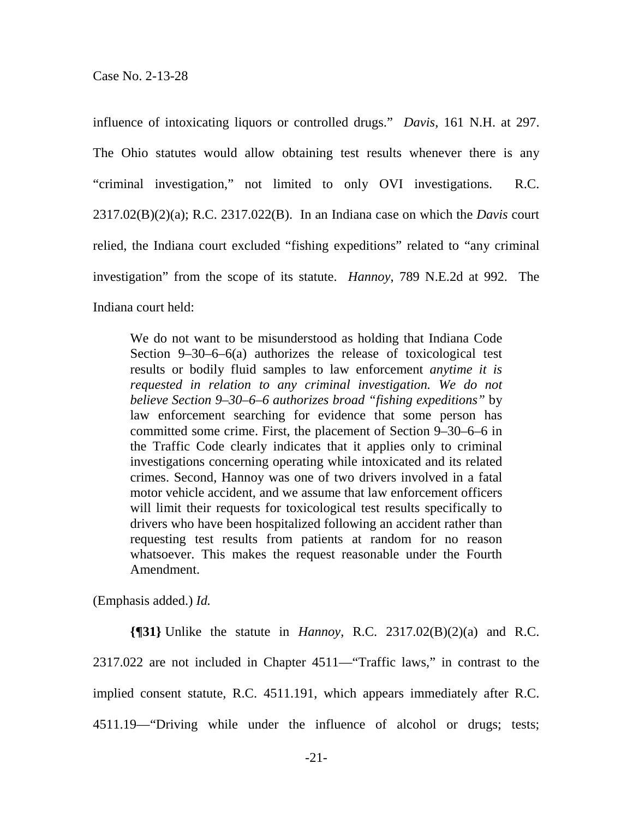influence of intoxicating liquors or controlled drugs." *Davis*, 161 N.H. at 297. The Ohio statutes would allow obtaining test results whenever there is any "criminal investigation," not limited to only OVI investigations. R.C. 2317.02(B)(2)(a); R.C. 2317.022(B). In an Indiana case on which the *Davis* court relied, the Indiana court excluded "fishing expeditions" related to "any criminal investigation" from the scope of its statute. *Hannoy*, 789 N.E.2d at 992. The Indiana court held:

We do not want to be misunderstood as holding that Indiana Code Section 9–30–6–6(a) authorizes the release of toxicological test results or bodily fluid samples to law enforcement *anytime it is requested in relation to any criminal investigation. We do not believe Section 9–30–6–6 authorizes broad "fishing expeditions"* by law enforcement searching for evidence that some person has committed some crime. First, the placement of Section 9–30–6–6 in the Traffic Code clearly indicates that it applies only to criminal investigations concerning operating while intoxicated and its related crimes. Second, Hannoy was one of two drivers involved in a fatal motor vehicle accident, and we assume that law enforcement officers will limit their requests for toxicological test results specifically to drivers who have been hospitalized following an accident rather than requesting test results from patients at random for no reason whatsoever. This makes the request reasonable under the Fourth Amendment.

(Emphasis added.) *Id.* 

**{¶31}** Unlike the statute in *Hannoy*, R.C. 2317.02(B)(2)(a) and R.C. 2317.022 are not included in Chapter 4511—"Traffic laws," in contrast to the implied consent statute, R.C. 4511.191, which appears immediately after R.C. 4511.19—"Driving while under the influence of alcohol or drugs; tests;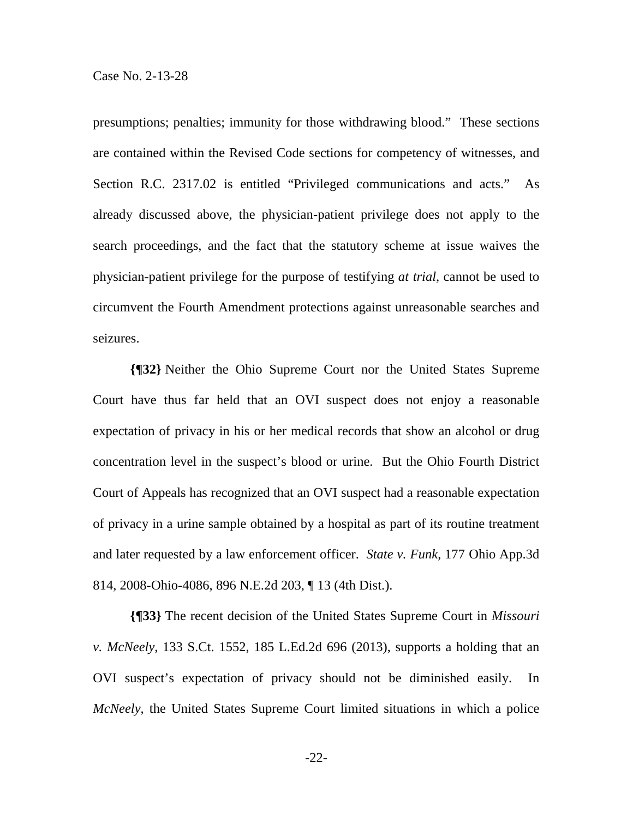presumptions; penalties; immunity for those withdrawing blood." These sections are contained within the Revised Code sections for competency of witnesses, and Section R.C. 2317.02 is entitled "Privileged communications and acts." As already discussed above, the physician-patient privilege does not apply to the search proceedings, and the fact that the statutory scheme at issue waives the physician-patient privilege for the purpose of testifying *at trial*, cannot be used to circumvent the Fourth Amendment protections against unreasonable searches and seizures.

**{¶32}** Neither the Ohio Supreme Court nor the United States Supreme Court have thus far held that an OVI suspect does not enjoy a reasonable expectation of privacy in his or her medical records that show an alcohol or drug concentration level in the suspect's blood or urine. But the Ohio Fourth District Court of Appeals has recognized that an OVI suspect had a reasonable expectation of privacy in a urine sample obtained by a hospital as part of its routine treatment and later requested by a law enforcement officer. *State v. Funk*, 177 Ohio App.3d 814, 2008-Ohio-4086, 896 N.E.2d 203, ¶ 13 (4th Dist.).

**{¶33}** The recent decision of the United States Supreme Court in *Missouri v. McNeely*, 133 S.Ct. 1552, 185 L.Ed.2d 696 (2013), supports a holding that an OVI suspect's expectation of privacy should not be diminished easily. In *McNeely*, the United States Supreme Court limited situations in which a police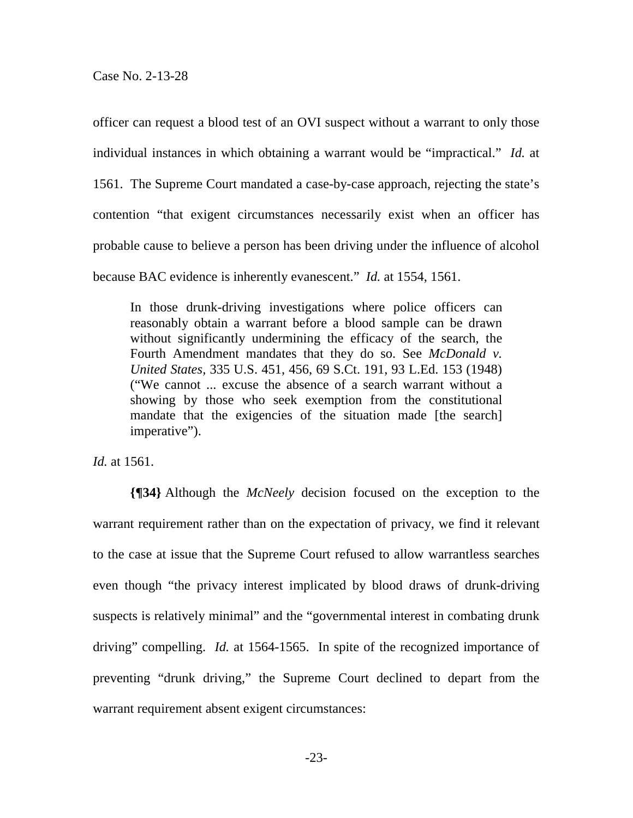Case No. 2-13-28

officer can request a blood test of an OVI suspect without a warrant to only those individual instances in which obtaining a warrant would be "impractical." *Id.* at 1561. The Supreme Court mandated a case-by-case approach, rejecting the state's contention "that exigent circumstances necessarily exist when an officer has probable cause to believe a person has been driving under the influence of alcohol because BAC evidence is inherently evanescent." *Id.* at 1554, 1561.

In those drunk-driving investigations where police officers can reasonably obtain a warrant before a blood sample can be drawn without significantly undermining the efficacy of the search, the Fourth Amendment mandates that they do so. See *McDonald v. United States,* 335 U.S. 451, 456, 69 S.Ct. 191, 93 L.Ed. 153 (1948) ("We cannot ... excuse the absence of a search warrant without a showing by those who seek exemption from the constitutional mandate that the exigencies of the situation made [the search] imperative").

*Id.* at 1561.

**{¶34}** Although the *McNeely* decision focused on the exception to the warrant requirement rather than on the expectation of privacy, we find it relevant to the case at issue that the Supreme Court refused to allow warrantless searches even though "the privacy interest implicated by blood draws of drunk-driving suspects is relatively minimal" and the "governmental interest in combating drunk driving" compelling. *Id.* at 1564-1565. In spite of the recognized importance of preventing "drunk driving," the Supreme Court declined to depart from the warrant requirement absent exigent circumstances: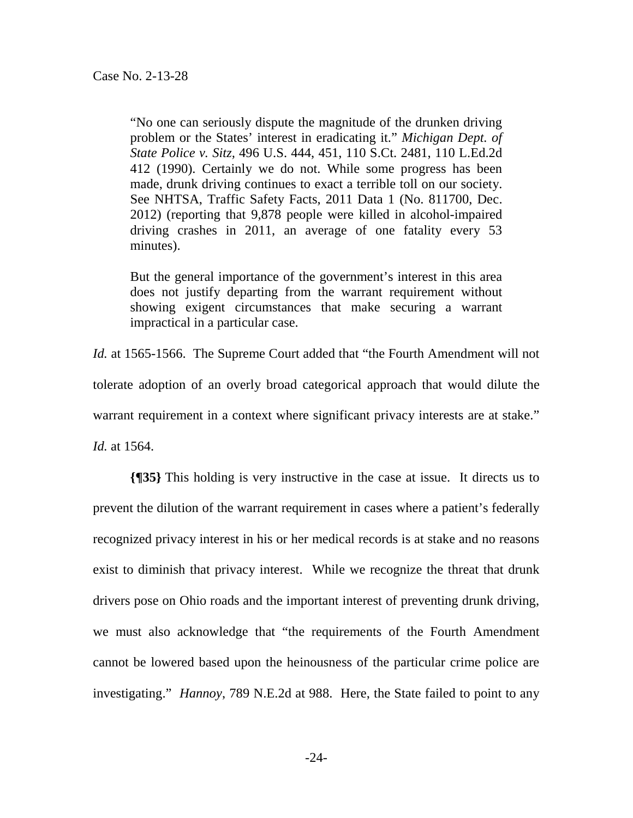"No one can seriously dispute the magnitude of the drunken driving problem or the States' interest in eradicating it." *Michigan Dept. of State Police v. Sitz,* 496 U.S. 444, 451, 110 S.Ct. 2481, 110 L.Ed.2d 412 (1990). Certainly we do not. While some progress has been made, drunk driving continues to exact a terrible toll on our society. See NHTSA, Traffic Safety Facts, 2011 Data 1 (No. 811700, Dec. 2012) (reporting that 9,878 people were killed in alcohol-impaired driving crashes in 2011, an average of one fatality every 53 minutes).

But the general importance of the government's interest in this area does not justify departing from the warrant requirement without showing exigent circumstances that make securing a warrant impractical in a particular case.

*Id.* at 1565-1566. The Supreme Court added that "the Fourth Amendment will not tolerate adoption of an overly broad categorical approach that would dilute the warrant requirement in a context where significant privacy interests are at stake." *Id.* at 1564.

**{¶35}** This holding is very instructive in the case at issue. It directs us to prevent the dilution of the warrant requirement in cases where a patient's federally recognized privacy interest in his or her medical records is at stake and no reasons exist to diminish that privacy interest. While we recognize the threat that drunk drivers pose on Ohio roads and the important interest of preventing drunk driving, we must also acknowledge that "the requirements of the Fourth Amendment cannot be lowered based upon the heinousness of the particular crime police are investigating." *Hannoy*, 789 N.E.2d at 988. Here, the State failed to point to any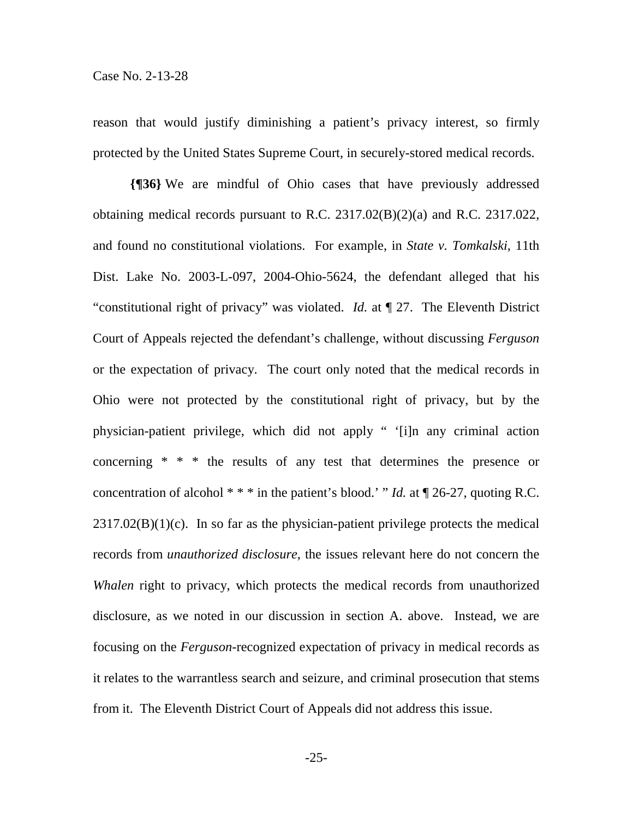reason that would justify diminishing a patient's privacy interest, so firmly protected by the United States Supreme Court, in securely-stored medical records.

**{¶36}** We are mindful of Ohio cases that have previously addressed obtaining medical records pursuant to R.C. 2317.02(B)(2)(a) and R.C. 2317.022, and found no constitutional violations. For example, in *State v. Tomkalski*, 11th Dist. Lake No. 2003-L-097, 2004-Ohio-5624, the defendant alleged that his "constitutional right of privacy" was violated. *Id.* at ¶ 27. The Eleventh District Court of Appeals rejected the defendant's challenge, without discussing *Ferguson*  or the expectation of privacy. The court only noted that the medical records in Ohio were not protected by the constitutional right of privacy, but by the physician-patient privilege, which did not apply " '[i]n any criminal action concerning \* \* \* the results of any test that determines the presence or concentration of alcohol  $***$  in the patient's blood.' " *Id.* at  $\P$  26-27, quoting R.C.  $2317.02(B)(1)(c)$ . In so far as the physician-patient privilege protects the medical records from *unauthorized disclosure*, the issues relevant here do not concern the *Whalen* right to privacy, which protects the medical records from unauthorized disclosure, as we noted in our discussion in section A. above. Instead, we are focusing on the *Ferguson*-recognized expectation of privacy in medical records as it relates to the warrantless search and seizure, and criminal prosecution that stems from it. The Eleventh District Court of Appeals did not address this issue.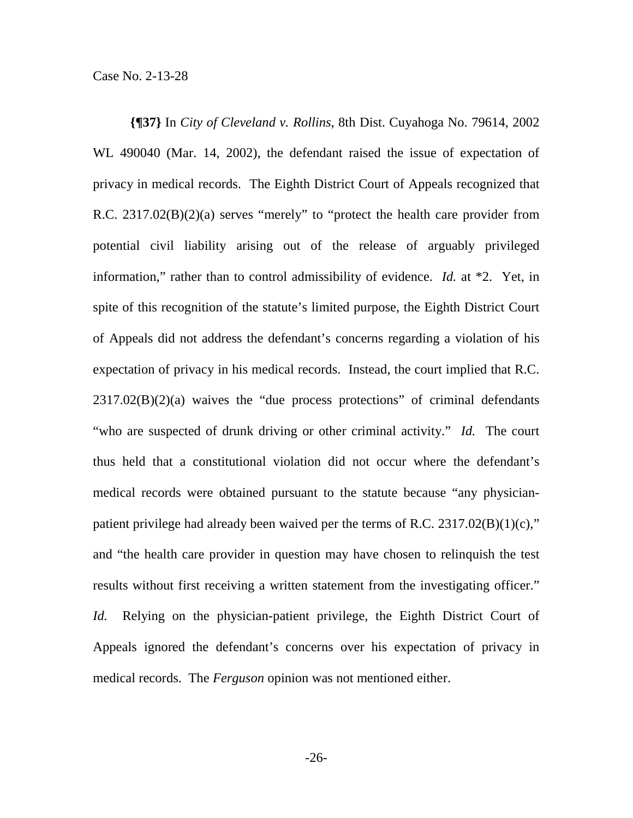**{¶37}** In *City of Cleveland v. Rollins*, 8th Dist. Cuyahoga No. 79614, 2002 WL 490040 (Mar. 14, 2002), the defendant raised the issue of expectation of privacy in medical records. The Eighth District Court of Appeals recognized that R.C. 2317.02(B)(2)(a) serves "merely" to "protect the health care provider from potential civil liability arising out of the release of arguably privileged information," rather than to control admissibility of evidence. *Id.* at \*2. Yet, in spite of this recognition of the statute's limited purpose, the Eighth District Court of Appeals did not address the defendant's concerns regarding a violation of his expectation of privacy in his medical records. Instead, the court implied that R.C.  $2317.02(B)(2)(a)$  waives the "due process protections" of criminal defendants "who are suspected of drunk driving or other criminal activity." *Id.* The court thus held that a constitutional violation did not occur where the defendant's medical records were obtained pursuant to the statute because "any physicianpatient privilege had already been waived per the terms of R.C.  $2317.02(B)(1)(c)$ ," and "the health care provider in question may have chosen to relinquish the test results without first receiving a written statement from the investigating officer." *Id.* Relying on the physician-patient privilege, the Eighth District Court of Appeals ignored the defendant's concerns over his expectation of privacy in medical records. The *Ferguson* opinion was not mentioned either.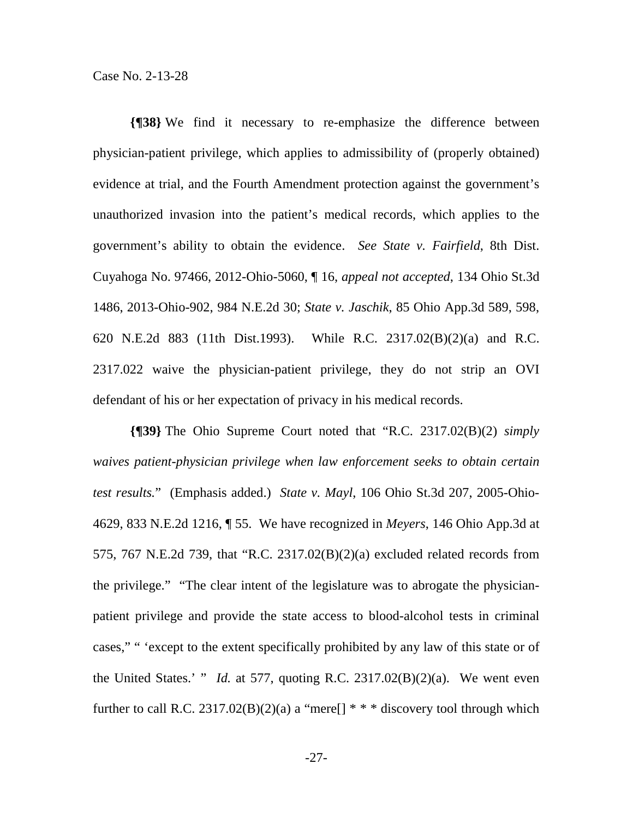Case No. 2-13-28

**{¶38}** We find it necessary to re-emphasize the difference between physician-patient privilege, which applies to admissibility of (properly obtained) evidence at trial, and the Fourth Amendment protection against the government's unauthorized invasion into the patient's medical records, which applies to the government's ability to obtain the evidence. *See State v. Fairfield*, 8th Dist. Cuyahoga No. 97466, 2012-Ohio-5060, ¶ 16, *appeal not accepted*, 134 Ohio St.3d 1486, 2013-Ohio-902, 984 N.E.2d 30; *State v. Jaschik*, 85 Ohio App.3d 589, 598, 620 N.E.2d 883 (11th Dist.1993). While R.C. 2317.02(B)(2)(a) and R.C. 2317.022 waive the physician-patient privilege, they do not strip an OVI defendant of his or her expectation of privacy in his medical records.

**{¶39}** The Ohio Supreme Court noted that "R.C. 2317.02(B)(2) *simply waives patient-physician privilege when law enforcement seeks to obtain certain test results.*" (Emphasis added.) *State v. Mayl*, 106 Ohio St.3d 207, 2005-Ohio-4629, 833 N.E.2d 1216, ¶ 55. We have recognized in *Meyers*, 146 Ohio App.3d at 575, 767 N.E.2d 739, that "R.C. 2317.02(B)(2)(a) excluded related records from the privilege." "The clear intent of the legislature was to abrogate the physicianpatient privilege and provide the state access to blood-alcohol tests in criminal cases," " 'except to the extent specifically prohibited by any law of this state or of the United States.' " *Id.* at 577, quoting R.C. 2317.02 $(B)(2)(a)$ . We went even further to call R.C. 2317.02(B)(2)(a) a "mere<sup>[] \*</sup> \*  $\frac{1}{4}$  discovery tool through which

-27-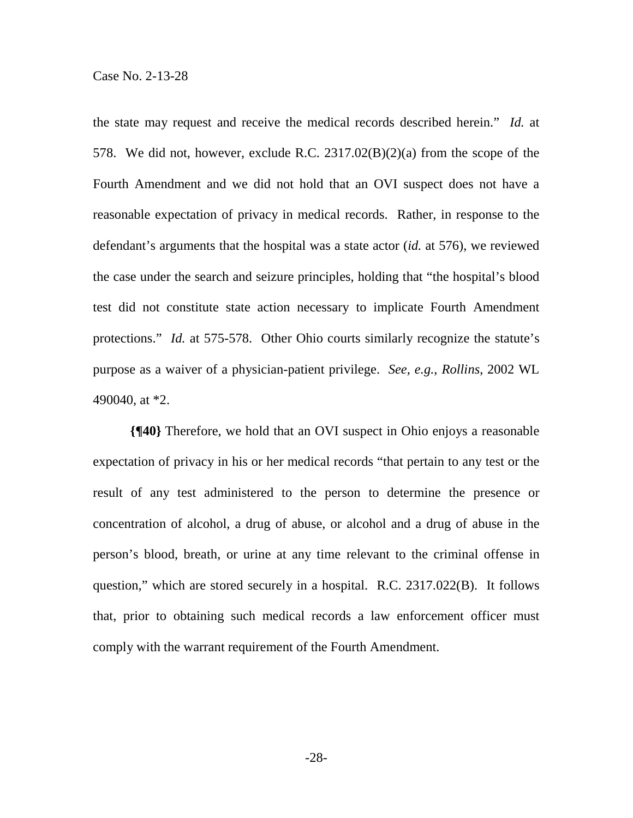the state may request and receive the medical records described herein." *Id.* at 578. We did not, however, exclude R.C. 2317.02(B)(2)(a) from the scope of the Fourth Amendment and we did not hold that an OVI suspect does not have a reasonable expectation of privacy in medical records. Rather, in response to the defendant's arguments that the hospital was a state actor (*id.* at 576), we reviewed the case under the search and seizure principles, holding that "the hospital's blood test did not constitute state action necessary to implicate Fourth Amendment protections." *Id.* at 575-578. Other Ohio courts similarly recognize the statute's purpose as a waiver of a physician-patient privilege. *See, e.g.*, *Rollins*, 2002 WL 490040, at \*2.

**{¶40}** Therefore, we hold that an OVI suspect in Ohio enjoys a reasonable expectation of privacy in his or her medical records "that pertain to any test or the result of any test administered to the person to determine the presence or concentration of alcohol, a drug of abuse, or alcohol and a drug of abuse in the person's blood, breath, or urine at any time relevant to the criminal offense in question," which are stored securely in a hospital. R.C. 2317.022(B). It follows that, prior to obtaining such medical records a law enforcement officer must comply with the warrant requirement of the Fourth Amendment.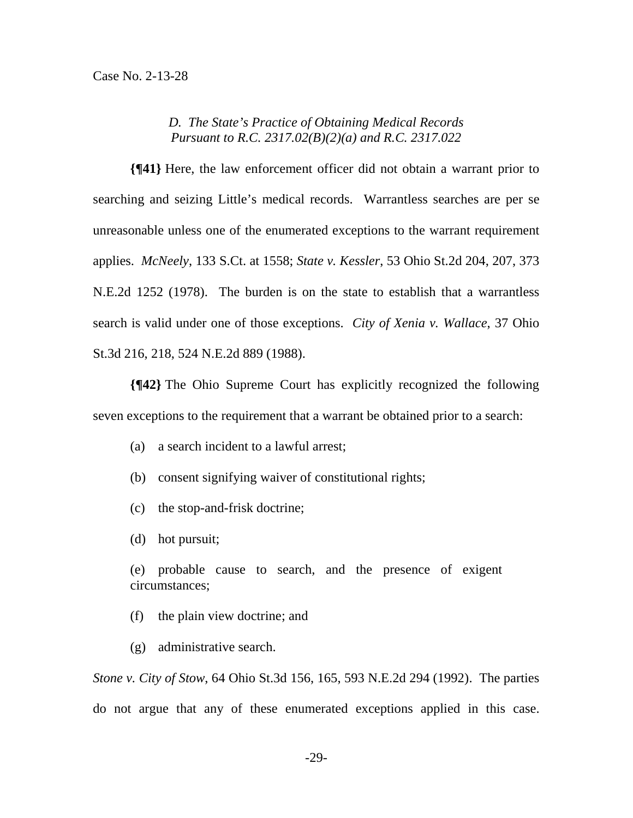### *D. The State's Practice of Obtaining Medical Records Pursuant to R.C. 2317.02(B)(2)(a) and R.C. 2317.022*

**{¶41}** Here, the law enforcement officer did not obtain a warrant prior to searching and seizing Little's medical records. Warrantless searches are per se unreasonable unless one of the enumerated exceptions to the warrant requirement applies. *McNeely*, 133 S.Ct. at 1558; *State v. Kessler*, 53 Ohio St.2d 204, 207, 373 N.E.2d 1252 (1978). The burden is on the state to establish that a warrantless search is valid under one of those exceptions. *City of Xenia v. Wallace*, 37 Ohio St.3d 216, 218, 524 N.E.2d 889 (1988).

**{¶42}** The Ohio Supreme Court has explicitly recognized the following seven exceptions to the requirement that a warrant be obtained prior to a search:

- (a) a search incident to a lawful arrest;
- (b) consent signifying waiver of constitutional rights;
- (c) the stop-and-frisk doctrine;
- (d) hot pursuit;

(e) probable cause to search, and the presence of exigent circumstances;

(f) the plain view doctrine; and

(g) administrative search.

*Stone v. City of Stow*, 64 Ohio St.3d 156, 165, 593 N.E.2d 294 (1992). The parties do not argue that any of these enumerated exceptions applied in this case.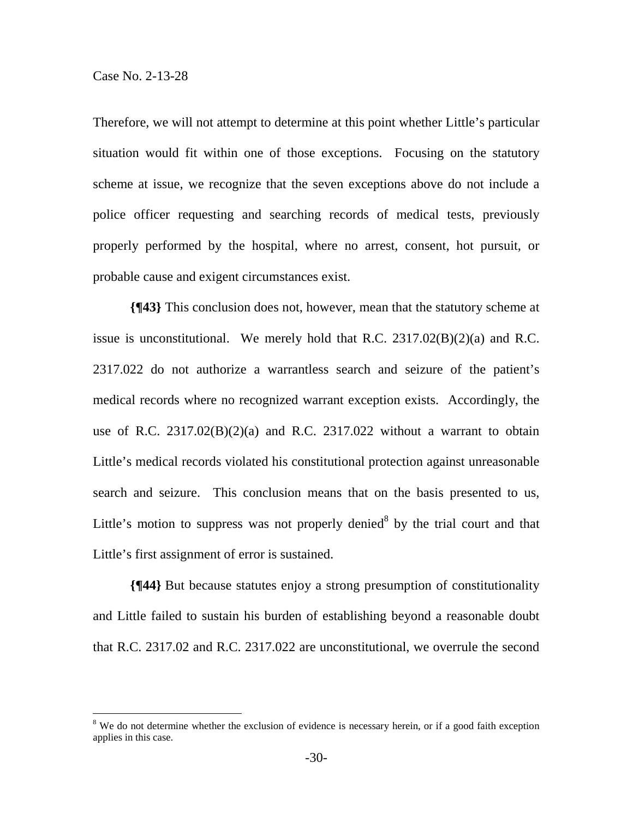$\overline{a}$ 

Therefore, we will not attempt to determine at this point whether Little's particular situation would fit within one of those exceptions. Focusing on the statutory scheme at issue, we recognize that the seven exceptions above do not include a police officer requesting and searching records of medical tests, previously properly performed by the hospital, where no arrest, consent, hot pursuit, or probable cause and exigent circumstances exist.

**{¶43}** This conclusion does not, however, mean that the statutory scheme at issue is unconstitutional. We merely hold that R.C.  $2317.02(B)(2)(a)$  and R.C. 2317.022 do not authorize a warrantless search and seizure of the patient's medical records where no recognized warrant exception exists. Accordingly, the use of R.C.  $2317.02(B)(2)(a)$  and R.C.  $2317.022$  without a warrant to obtain Little's medical records violated his constitutional protection against unreasonable search and seizure. This conclusion means that on the basis presented to us, Little's motion to suppress was not properly denied<sup>8</sup> by the trial court and that Little's first assignment of error is sustained.

**{¶44}** But because statutes enjoy a strong presumption of constitutionality and Little failed to sustain his burden of establishing beyond a reasonable doubt that R.C. 2317.02 and R.C. 2317.022 are unconstitutional, we overrule the second

 $8$  We do not determine whether the exclusion of evidence is necessary herein, or if a good faith exception applies in this case.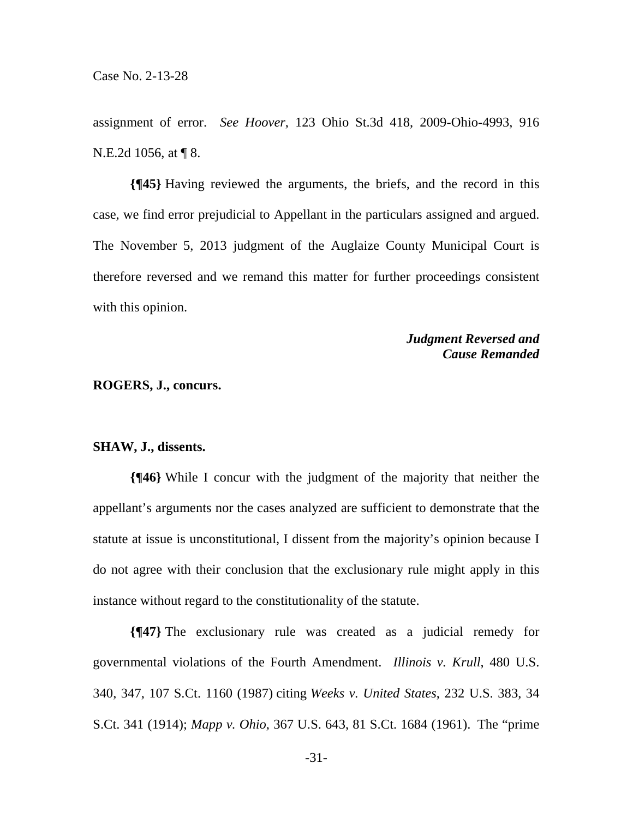assignment of error. *See Hoover*, 123 Ohio St.3d 418, 2009-Ohio-4993, 916 N.E.2d 1056, at ¶ 8.

**{¶45}** Having reviewed the arguments, the briefs, and the record in this case, we find error prejudicial to Appellant in the particulars assigned and argued. The November 5, 2013 judgment of the Auglaize County Municipal Court is therefore reversed and we remand this matter for further proceedings consistent with this opinion.

# *Judgment Reversed and Cause Remanded*

#### **ROGERS, J., concurs.**

#### **SHAW, J., dissents.**

**{¶46}** While I concur with the judgment of the majority that neither the appellant's arguments nor the cases analyzed are sufficient to demonstrate that the statute at issue is unconstitutional, I dissent from the majority's opinion because I do not agree with their conclusion that the exclusionary rule might apply in this instance without regard to the constitutionality of the statute.

**{¶47}** The exclusionary rule was created as a judicial remedy for governmental violations of the Fourth Amendment. *Illinois v. Krull*, 480 U.S. 340, 347, 107 S.Ct. 1160 (1987) citing *Weeks v. United States*, 232 U.S. 383, 34 S.Ct. 341 (1914); *Mapp v. Ohio*, 367 U.S. 643, 81 S.Ct. 1684 (1961). The "prime